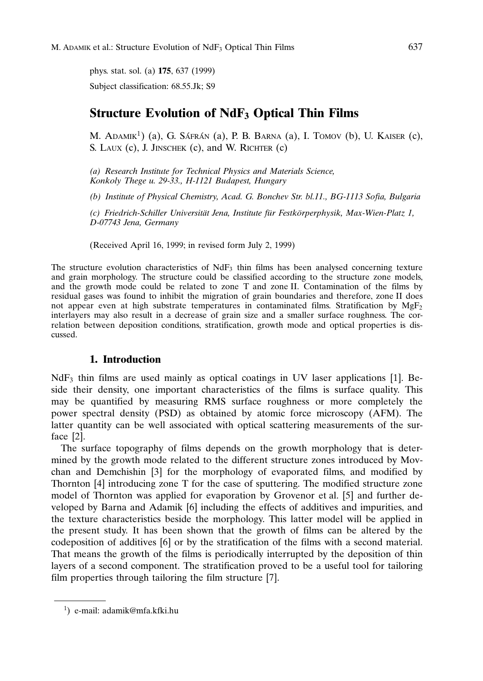phys. stat. sol. (a) 175, 637 (1999) Subject classification: 68.55.Jk; S9

# **Structure Evolution of NdF<sub>3</sub> Optical Thin Films**

M. Adamik<sup>1</sup>) (a), G. Sáfrán (a), P. B. Barna (a), I. Tomov (b), U. Kaiser (c), S. LAUX (c), J. JINSCHEK (c), and W. RICHTER (c)

(a) Research Institute for Technical Physics and Materials Science, Konkoly Thege u. 29-33., H-1121 Budapest, Hungary

(b) Institute of Physical Chemistry, Acad. G. Bonchev Str. bl.11., BG-1113 Sofia, Bulgaria

(c) Friedrich-Schiller Universität Jena, Institute für Festkörperphysik, Max-Wien-Platz 1, D-07743 Jena, Germany

(Received April 16, 1999; in revised form July 2, 1999)

The structure evolution characteristics of  $NdF_3$  thin films has been analysed concerning texture and grain morphology. The structure could be classified according to the structure zone models, and the growth mode could be related to zone T and zone II. Contamination of the films by residual gases was found to inhibit the migration of grain boundaries and therefore, zone II does not appear even at high substrate temperatures in contaminated films. Stratification by  $MgF<sub>2</sub>$ interlayers may also result in a decrease of grain size and a smaller surface roughness. The correlation between deposition conditions, stratification, growth mode and optical properties is discussed.

## 1. Introduction

 $NdF<sub>3</sub>$  thin films are used mainly as optical coatings in UV laser applications [1]. Beside their density, one important characteristics of the films is surface quality. This may be quantified by measuring RMS surface roughness or more completely the power spectral density (PSD) as obtained by atomic force microscopy (AFM). The latter quantity can be well associated with optical scattering measurements of the surface [2].

The surface topography of films depends on the growth morphology that is determined by the growth mode related to the different structure zones introduced by Movchan and Demchishin [3] for the morphology of evaporated films, and modified by Thornton [4] introducing zone T for the case of sputtering. The modified structure zone model of Thornton was applied for evaporation by Grovenor et al. [5] and further developed by Barna and Adamik [6] including the effects of additives and impurities, and the texture characteristics beside the morphology. This latter model will be applied in the present study. It has been shown that the growth of films can be altered by the codeposition of additives [6] or by the stratification of the films with a second material. That means the growth of the films is periodically interrupted by the deposition of thin layers of a second component. The stratification proved to be a useful tool for tailoring film properties through tailoring the film structure [7].

<sup>1</sup> ) e-mail: adamik@mfa.kfki.hu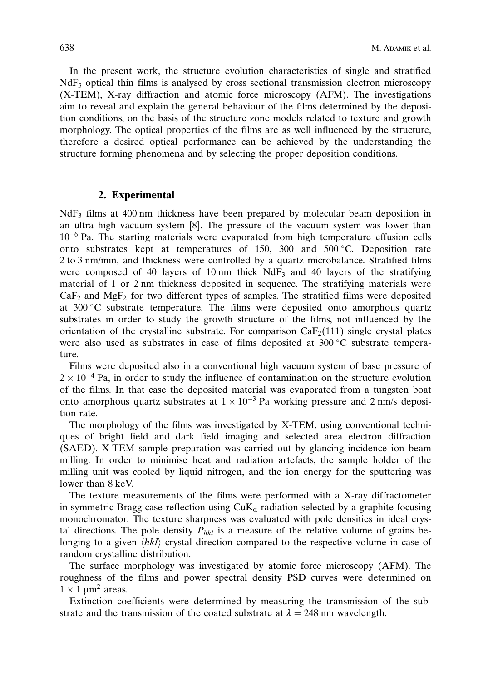In the present work, the structure evolution characteristics of single and stratified NdF3 optical thin films is analysed by cross sectional transmission electron microscopy (X-TEM), X-ray diffraction and atomic force microscopy (AFM). The investigations aim to reveal and explain the general behaviour of the films determined by the deposition conditions, on the basis of the structure zone models related to texture and growth morphology. The optical properties of the films are as well influenced by the structure, therefore a desired optical performance can be achieved by the understanding the structure forming phenomena and by selecting the proper deposition conditions.

#### 2. Experimental

NdF<sub>3</sub> films at 400 nm thickness have been prepared by molecular beam deposition in an ultra high vacuum system [8]. The pressure of the vacuum system was lower than  $10<sup>-6</sup>$  Pa. The starting materials were evaporated from high temperature effusion cells onto substrates kept at temperatures of 150, 300 and 500 C. Deposition rate 2 to 3 nm/min, and thickness were controlled by a quartz microbalance. Stratified films were composed of 40 layers of 10 nm thick  $NdF_3$  and 40 layers of the stratifying material of 1 or 2 nm thickness deposited in sequence. The stratifying materials were  $CaF<sub>2</sub>$  and  $MgF<sub>2</sub>$  for two different types of samples. The stratified films were deposited at 300 C substrate temperature. The films were deposited onto amorphous quartz substrates in order to study the growth structure of the films, not influenced by the orientation of the crystalline substrate. For comparison  $\text{CaF}_2(111)$  single crystal plates were also used as substrates in case of films deposited at 300 °C substrate temperature.

Films were deposited also in a conventional high vacuum system of base pressure of  $2 \times 10^{-4}$  Pa, in order to study the influence of contamination on the structure evolution of the films. In that case the deposited material was evaporated from a tungsten boat onto amorphous quartz substrates at  $1 \times 10^{-3}$  Pa working pressure and 2 nm/s deposition rate.

The morphology of the films was investigated by X-TEM, using conventional techniques of bright field and dark field imaging and selected area electron diffraction (SAED). X-TEM sample preparation was carried out by glancing incidence ion beam milling. In order to minimise heat and radiation artefacts, the sample holder of the milling unit was cooled by liquid nitrogen, and the ion energy for the sputtering was lower than 8 keV.

The texture measurements of the films were performed with a X-ray diffractometer in symmetric Bragg case reflection using  $CuK_\alpha$  radiation selected by a graphite focusing monochromator. The texture sharpness was evaluated with pole densities in ideal crystal directions. The pole density  $P_{hkl}$  is a measure of the relative volume of grains belonging to a given  $\langle h k l \rangle$  crystal direction compared to the respective volume in case of random crystalline distribution.

The surface morphology was investigated by atomic force microscopy (AFM). The roughness of the films and power spectral density PSD curves were determined on  $1 \times 1 \mu m^2$  areas.

Extinction coefficients were determined by measuring the transmission of the substrate and the transmission of the coated substrate at  $\lambda = 248$  nm wavelength.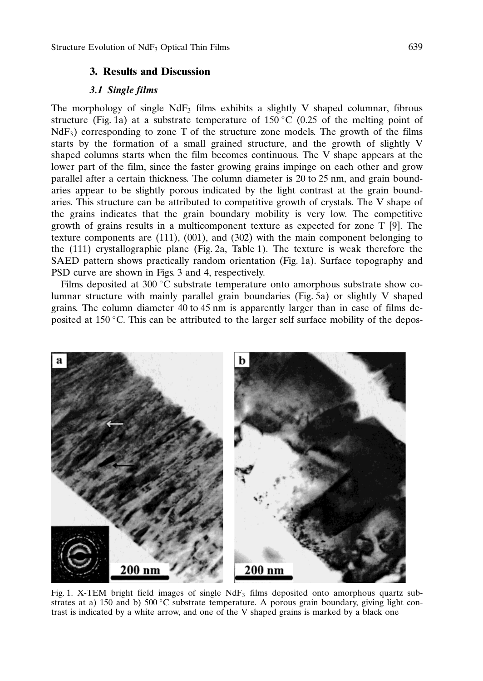## 3. Results and Discussion

### 3.1 Single films

The morphology of single  $NdF_3$  films exhibits a slightly V shaped columnar, fibrous structure (Fig. 1a) at a substrate temperature of 150 °C (0.25 of the melting point of  $NdF<sub>3</sub>$ ) corresponding to zone T of the structure zone models. The growth of the films starts by the formation of a small grained structure, and the growth of slightly V shaped columns starts when the film becomes continuous. The V shape appears at the lower part of the film, since the faster growing grains impinge on each other and grow parallel after a certain thickness. The column diameter is 20 to 25 nm, and grain boundaries appear to be slightly porous indicated by the light contrast at the grain boundaries. This structure can be attributed to competitive growth of crystals. The V shape of the grains indicates that the grain boundary mobility is very low. The competitive growth of grains results in a multicomponent texture as expected for zone T [9]. The texture components are (111), (001), and (302) with the main component belonging to the (111) crystallographic plane (Fig. 2a, Table 1). The texture is weak therefore the SAED pattern shows practically random orientation (Fig. 1a). Surface topography and PSD curve are shown in Figs. 3 and 4, respectively.

Films deposited at  $300\degree C$  substrate temperature onto amorphous substrate show columnar structure with mainly parallel grain boundaries (Fig. 5a) or slightly V shaped grains. The column diameter 40 to 45 nm is apparently larger than in case of films deposited at 150  $\degree$ C. This can be attributed to the larger self surface mobility of the depos-



Fig. 1. X-TEM bright field images of single  $NdF<sub>3</sub>$  films deposited onto amorphous quartz substrates at a) 150 and b) 500 °C substrate temperature. A porous grain boundary, giving light contrast is indicated by a white arrow, and one of the V shaped grains is marked by a black one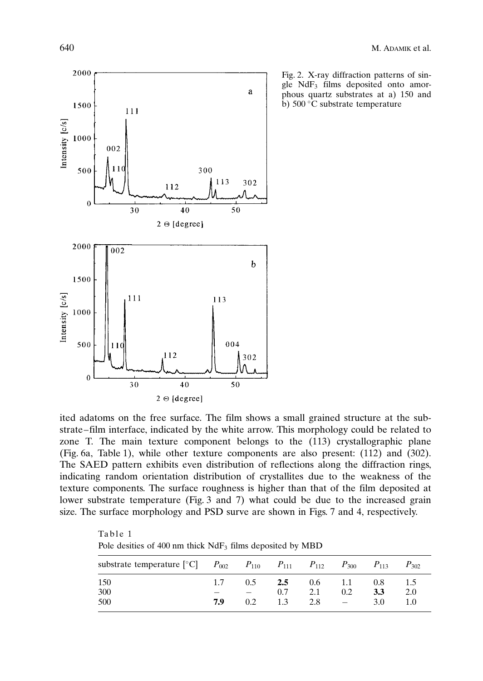

Table 1

Fig. 2. X-ray diffraction patterns of single  $NdF_3$  films deposited onto amorphous quartz substrates at a) 150 and b)  $500^{\circ}$ C substrate temperature

ited adatoms on the free surface. The film shows a small grained structure at the substrate-film interface, indicated by the white arrow. This morphology could be related to zone T. The main texture component belongs to the (113) crystallographic plane (Fig. 6a, Table 1), while other texture components are also present: (112) and (302). The SAED pattern exhibits even distribution of reflections along the diffraction rings, indicating random orientation distribution of crystallites due to the weakness of the texture components. The surface roughness is higher than that of the film deposited at lower substrate temperature (Fig. 3 and 7) what could be due to the increased grain size. The surface morphology and PSD surve are shown in Figs. 7 and 4, respectively.

Pole desities of  $400$  nm thick  $NdF_3$  films deposited by MBD substrate temperature [°C]  $[{}^{\circ}C]$   $P_{002}$   $P_{110}$   $P_{111}$   $P_{112}$   $P_{300}$   $P_{113}$   $P_{302}$ 150 1.7 0.5 **2.5** 0.6 1.1 0.8 1.5  $\frac{300}{200}$   $\frac{-}{20}$   $\frac{-}{20}$   $\frac{0.7}{20}$   $\frac{2.1}{20}$   $\frac{0.2}{20}$   $\frac{3.3}{20}$   $\frac{2.0}{20}$ 500 7.9 0.2 1.3 2.8  $-$  3.0 1.0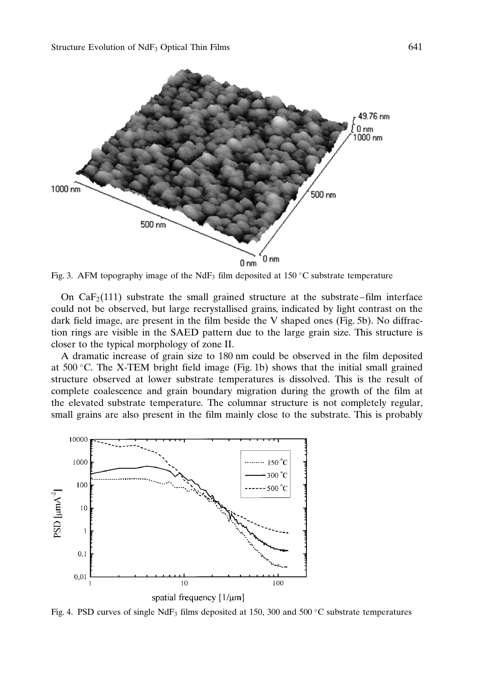

Fig. 3. AFM topography image of the NdF<sub>3</sub> film deposited at 150 °C substrate temperature

On  $CaF<sub>2</sub>(111)$  substrate the small grained structure at the substrate–film interface could not be observed, but large recrystallised grains, indicated by light contrast on the dark field image, are present in the film beside the V shaped ones (Fig. 5b). No diffraction rings are visible in the SAED pattern due to the large grain size. This structure is closer to the typical morphology of zone II.

A dramatic increase of grain size to 180 nm could be observed in the film deposited at  $500\degree$ C. The X-TEM bright field image (Fig. 1b) shows that the initial small grained structure observed at lower substrate temperatures is dissolved. This is the result of complete coalescence and grain boundary migration during the growth of the film at the elevated substrate temperature. The columnar structure is not completely regular, small grains are also present in the film mainly close to the substrate. This is probably



Fig. 4. PSD curves of single NdF<sub>3</sub> films deposited at 150, 300 and 500 °C substrate temperatures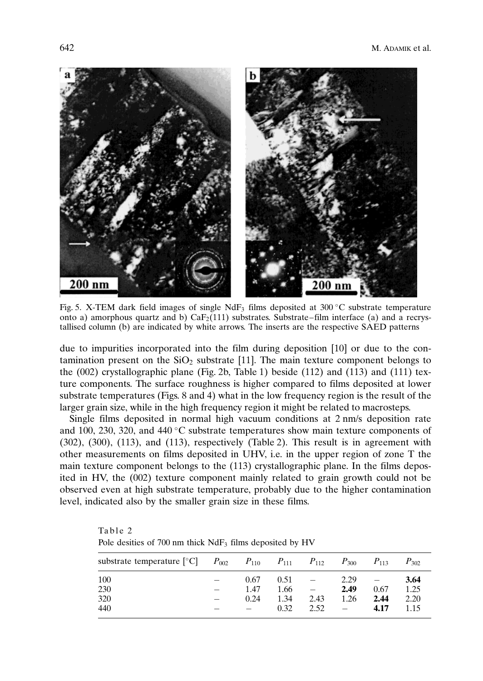

Fig. 5. X-TEM dark field images of single NdF<sub>3</sub> films deposited at  $300^{\circ}$ C substrate temperature onto a) amorphous quartz and b)  $CaF<sub>2</sub>(111)$  substrates. Substrate–film interface (a) and a recrystallised column (b) are indicated by white arrows. The inserts are the respective SAED patterns

due to impurities incorporated into the film during deposition [10] or due to the contamination present on the  $SiO<sub>2</sub>$  substrate [11]. The main texture component belongs to the (002) crystallographic plane (Fig. 2b, Table 1) beside (112) and (113) and (111) texture components. The surface roughness is higher compared to films deposited at lower substrate temperatures (Figs. 8 and 4) what in the low frequency region is the result of the larger grain size, while in the high frequency region it might be related to macrosteps.

Single films deposited in normal high vacuum conditions at 2 nm/s deposition rate and 100, 230, 320, and 440 °C substrate temperatures show main texture components of (302), (300), (113), and (113), respectively (Table 2). This result is in agreement with other measurements on films deposited in UHV, i.e. in the upper region of zone T the main texture component belongs to the (113) crystallographic plane. In the films deposited in HV, the (002) texture component mainly related to grain growth could not be observed even at high substrate temperature, probably due to the higher contamination level, indicated also by the smaller grain size in these films.

| Pole desities of 700 nm thick $NdF_3$ films deposited by HV                                       |  |      |      |      |      |      |           |  |
|---------------------------------------------------------------------------------------------------|--|------|------|------|------|------|-----------|--|
| substrate temperature $[{}^{\circ}C]$ $P_{002}$ $P_{110}$ $P_{111}$ $P_{112}$ $P_{300}$ $P_{113}$ |  |      |      |      |      |      | $P_{302}$ |  |
| 100                                                                                               |  | 0.67 | 0.51 |      | 2.29 |      | 3.64      |  |
| 230                                                                                               |  | 1.47 | 1.66 |      | 2.49 | 0.67 | 1.25      |  |
| 320                                                                                               |  | 0.24 | 1.34 | 2.43 | 1.26 | 2.44 | 2.20      |  |
| 440                                                                                               |  |      | 0.32 | 2.52 |      | 4.17 | 1.15      |  |

Table 2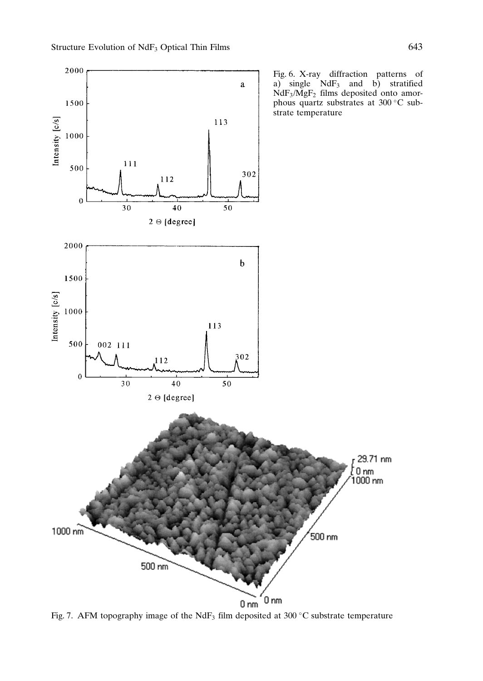

Fig. 7. AFM topography image of the NdF<sub>3</sub> film deposited at 300 °C substrate temperature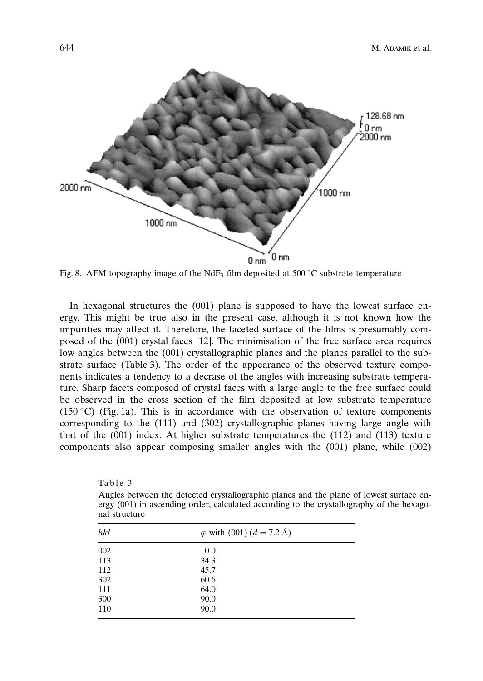

Fig. 8. AFM topography image of the NdF<sub>3</sub> film deposited at 500 °C substrate temperature

In hexagonal structures the (001) plane is supposed to have the lowest surface energy. This might be true also in the present case, although it is not known how the impurities may affect it. Therefore, the faceted surface of the films is presumably composed of the (001) crystal faces [12]. The minimisation of the free surface area requires low angles between the  $(001)$  crystallographic planes and the planes parallel to the substrate surface (Table 3). The order of the appearance of the observed texture components indicates a tendency to a decrase of the angles with increasing substrate temperature. Sharp facets composed of crystal faces with a large angle to the free surface could be observed in the cross section of the film deposited at low substrate temperature  $(150 \degree C)$  (Fig. 1a). This is in accordance with the observation of texture components corresponding to the (111) and (302) crystallographic planes having large angle with that of the  $(001)$  index. At higher substrate temperatures the  $(112)$  and  $(113)$  texture components also appear composing smaller angles with the (001) plane, while (002)

| Table 3                                                                                                      |
|--------------------------------------------------------------------------------------------------------------|
| Angles between the detected crystallographic planes and the plane of lowest surface en-                      |
| ergy $(001)$ in ascending order, calculated according to the crystallography of the hexago-<br>nal structure |
|                                                                                                              |

| hkl | $\varphi$ with (001) ( $d = 7.2 \text{ Å}$ ) |  |  |  |
|-----|----------------------------------------------|--|--|--|
| 002 | 0.0                                          |  |  |  |
| 113 | 34.3                                         |  |  |  |
| 112 | 45.7                                         |  |  |  |
| 302 | 60.6                                         |  |  |  |
| 111 | 64.0                                         |  |  |  |
| 300 | 90.0                                         |  |  |  |
| 110 | 90.0                                         |  |  |  |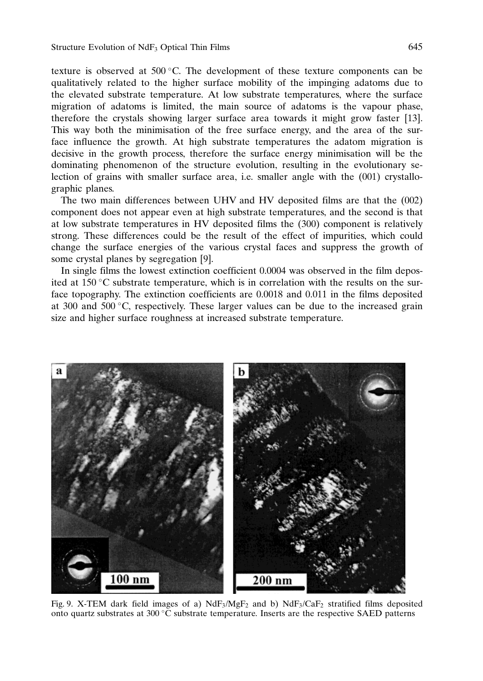texture is observed at  $500^{\circ}$ C. The development of these texture components can be qualitatively related to the higher surface mobility of the impinging adatoms due to the elevated substrate temperature. At low substrate temperatures, where the surface migration of adatoms is limited, the main source of adatoms is the vapour phase, therefore the crystals showing larger surface area towards it might grow faster [13]. This way both the minimisation of the free surface energy, and the area of the surface influence the growth. At high substrate temperatures the adatom migration is decisive in the growth process, therefore the surface energy minimisation will be the dominating phenomenon of the structure evolution, resulting in the evolutionary selection of grains with smaller surface area, i.e. smaller angle with the (001) crystallographic planes.

The two main differences between UHV and HV deposited films are that the (002) component does not appear even at high substrate temperatures, and the second is that at low substrate temperatures in HV deposited films the (300) component is relatively strong. These differences could be the result of the effect of impurities, which could change the surface energies of the various crystal faces and suppress the growth of some crystal planes by segregation [9].

In single films the lowest extinction coefficient 0.0004 was observed in the film deposited at  $150^{\circ}$ C substrate temperature, which is in correlation with the results on the surface topography. The extinction coefficients are 0.0018 and 0.011 in the films deposited at  $300$  and  $500 \degree$ C, respectively. These larger values can be due to the increased grain size and higher surface roughness at increased substrate temperature.



Fig. 9. X-TEM dark field images of a) NdF<sub>3</sub>/MgF<sub>2</sub> and b) NdF<sub>3</sub>/CaF<sub>2</sub> stratified films deposited onto quartz substrates at 300 $\degree$ C substrate temperature. Inserts are the respective SAED patterns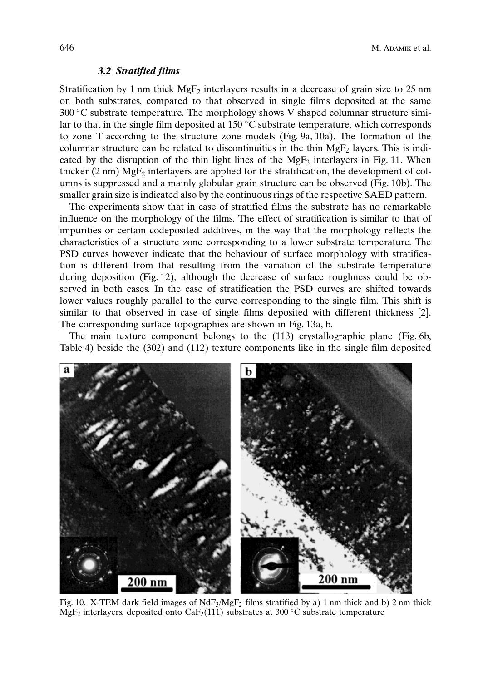#### 3.2 Stratified films

Stratification by 1 nm thick  $MgF<sub>2</sub>$  interlayers results in a decrease of grain size to 25 nm on both substrates, compared to that observed in single films deposited at the same  $300^{\circ}$ C substrate temperature. The morphology shows V shaped columnar structure similar to that in the single film deposited at  $150^{\circ}$ C substrate temperature, which corresponds to zone T according to the structure zone models (Fig. 9a, 10a). The formation of the columnar structure can be related to discontinuities in the thin  $MgF_2$  layers. This is indicated by the disruption of the thin light lines of the  $MgF<sub>2</sub>$  interlayers in Fig. 11. When thicker  $(2 \text{ nm}) \text{ MgF}_2$  interlayers are applied for the stratification, the development of columns is suppressed and a mainly globular grain structure can be observed (Fig. 10b). The smaller grain size is indicated also by the continuous rings of the respective SAED pattern.

The experiments show that in case of stratified films the substrate has no remarkable influence on the morphology of the films. The effect of stratification is similar to that of impurities or certain codeposited additives, in the way that the morphology reflects the characteristics of a structure zone corresponding to a lower substrate temperature. The PSD curves however indicate that the behaviour of surface morphology with stratification is different from that resulting from the variation of the substrate temperature during deposition (Fig. 12), although the decrease of surface roughness could be observed in both cases. In the case of stratification the PSD curves are shifted towards lower values roughly parallel to the curve corresponding to the single film. This shift is similar to that observed in case of single films deposited with different thickness [2]. The corresponding surface topographies are shown in Fig. 13a, b.

The main texture component belongs to the (113) crystallographic plane (Fig. 6b, Table 4) beside the (302) and (112) texture components like in the single film deposited



Fig. 10. X-TEM dark field images of  $NdF_3/MgF_2$  films stratified by a) 1 nm thick and b) 2 nm thick MgF<sub>2</sub> interlayers, deposited onto CaF<sub>2</sub>(111) substrates at 300 °C substrate temperature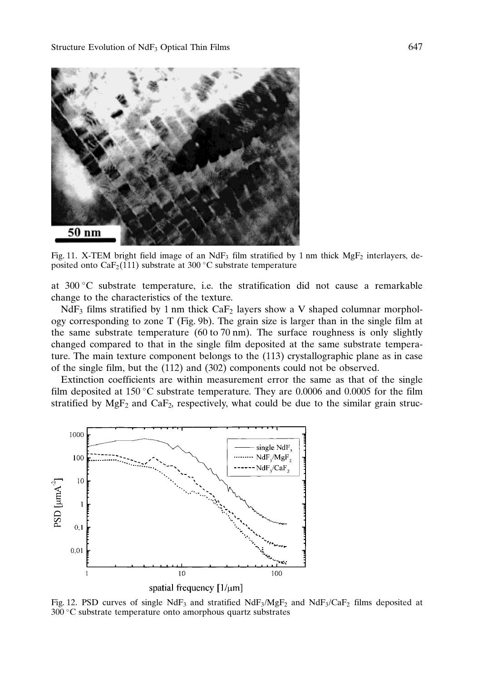

Fig. 11. X-TEM bright field image of an NdF<sub>3</sub> film stratified by 1 nm thick MgF<sub>2</sub> interlayers, deposited onto  $CaF<sub>2</sub>(111)$  substrate at 300 °C substrate temperature

at  $300\degree$ C substrate temperature, i.e. the stratification did not cause a remarkable change to the characteristics of the texture.

 $NdF_3$  films stratified by 1 nm thick  $CaF_2$  layers show a V shaped columnar morphology corresponding to zone T (Fig. 9b). The grain size is larger than in the single film at the same substrate temperature (60 to 70 nm). The surface roughness is only slightly changed compared to that in the single film deposited at the same substrate temperature. The main texture component belongs to the (113) crystallographic plane as in case of the single film, but the (112) and (302) components could not be observed.

Extinction coefficients are within measurement error the same as that of the single film deposited at 150 °C substrate temperature. They are 0.0006 and 0.0005 for the film stratified by  $MgF_2$  and  $CaF_2$ , respectively, what could be due to the similar grain struc-



Fig. 12. PSD curves of single NdF<sub>3</sub> and stratified NdF<sub>3</sub>/MgF<sub>2</sub> and NdF<sub>3</sub>/CaF<sub>2</sub> films deposited at 300 C substrate temperature onto amorphous quartz substrates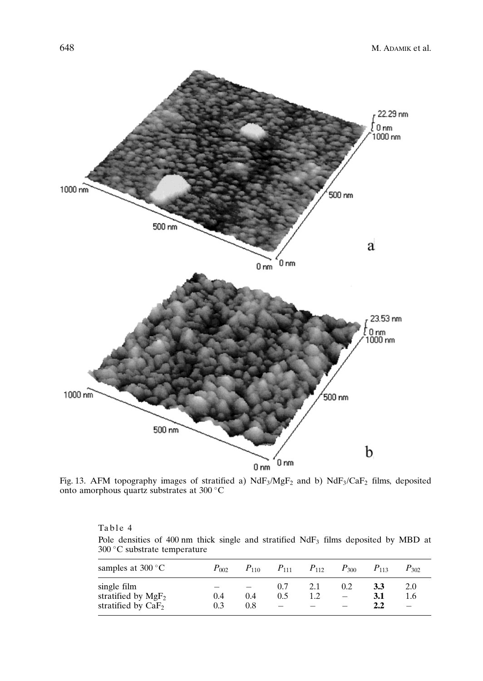

Fig. 13. AFM topography images of stratified a)  $N dF_3 / MgF_2$  and b)  $N dF_3 / CaF_2$  films, deposited onto amorphous quartz substrates at 300 °C

### Table 4

Pole densities of 400 nm thick single and stratified NdF<sub>3</sub> films deposited by MBD at 300 C substrate temperature

| samples at $300^{\circ}$ C                                   | $P_{002}$  | $P_{110}$  | $P_{111}$  | $P_{112}$  | $P_{300}$ | $P_{113}$         | $P_{302}$  |
|--------------------------------------------------------------|------------|------------|------------|------------|-----------|-------------------|------------|
| single film<br>stratified by $MgF_2$<br>stratified by $CaF2$ | 0.4<br>0.3 | 0.4<br>0.8 | 0.7<br>0.5 | 2.1<br>1.2 | 0.2       | 3.3<br>3.1<br>2.2 | 2.0<br>1.6 |